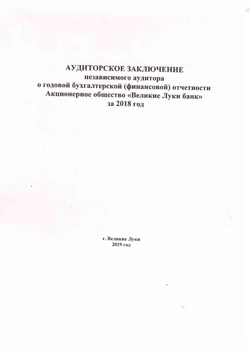# АУДИТОРСКОЕ ЗАКЛЮЧЕНИЕ независимого аудитора о годовой бухгалтерской (финансовой) отчетности Акционерное общество «Великие Луки банк» за 2018 год

г. Великие Луки 2019 год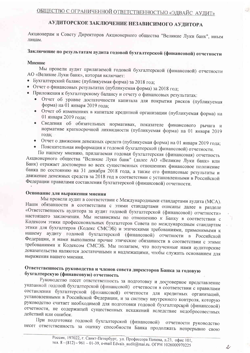#### АУДИТОРСКОЕ ЗАКЛЮЧЕНИЕ НЕЗАВИСИМОГО АУДИТОРА

Акционерам и Совету Директоров Акционерного общества "Великие Луки банк", иным лицам.

## Заключение по результатам аудита годовой бухгалтерской (финансовой) отчетности

#### Мнение

Мы провели аудит прилагаемой годовой бухгалтерской (финансовой) отчетности АО «Великие Луки банк», которая включает:

- Бухгалтерский баланс (публикуемая форма) за 2018 год;
- Отчет о финансовых результатах (публикуемая форма) за 2018 год;
- Приложения к бухгалтерскому балансу и отчету о финансовых результатах:
	- Отчет об уровне достаточности капитала для покрытия рисков (публикуемая форма) на 01 января 2019 года;
	- Отчет об изменениях в капитале кредитной организации (публикуемая форма) на  $\bullet$ 01 января 2019 года:
	- Сведения об обязательных нормативах, показателе финансового рычага и нормативе краткосрочной ликвидности (публикуемая форма) на 01 января 2019 года;
	- Отчет о движении денежных средств (публикуемая форма) на 01 января 2019 года;
	- Пояснительная информация к годовой бухгалтерской (финансовой) отчетности.

По нашему мнению, прилагаемая годовая бухгалтерская (финансовая) отчетность Акционерного общества "Великие Луки банк" (далее АО «Великие Луки банк» или Банк) отражает достоверно во всех существенных отношениях финансовое положение банка по состоянию на 31 декабря 2018 года, а также его финансовые результаты и движение денежных средств за 2018 год в соответствии с установленными в Российской Федерации правилами составления бухгалтерской (финансовой) отчетности.

#### Основание для выражения мнения

Мы провели аудит в соответствии с Международными стандартами аудита (МСА). Наши обязанности в соответствии с этими стандартами описаны далее в разделе «Ответственность аудитора за аудит годовой бухгалтерской (финансовой) отчетности» настоящего заключения. Мы независимы по отношению к Банку в соответствии с Кодексом этики профессиональных бухгалтеров Совета по международным стандартам этики для бухгалтеров (Кодекс СМСЭБ) и этическими требованиями, применимыми к нашему аудиту годовой бухгалтерской (финансовой) отчетности в Российской Федерации, и нами выполнены прочие этические обязанности в соответствии с этими требованиями и Кодексом СМСЭБ. Мы полагаем, что полученные нами аудиторские доказательства являются достаточными и надлежащими, чтобы служить основанием для выражения нашего мнения.

#### Ответственность руководства и членов совета директоров Банка за годовую бухгалтерскую (финансовую) отчетность

Руководство несет ответственность за подготовку и достоверное представление указанной годовой бухгалтерской (финансовой) отчетности в соответствии с правилами составления бухгалтерской (финансовой) отчетности для кредитных организаций, установленными в Российской Федерации, и за систему внутреннего контроля, которую руководство считает необходимой для подготовки годовой бухгалтерской (финансовой) отчетности, не содержащей существенных искажений вследствие недобросовестных действий или ошибок.

При подготовке годовой бухгалтерской (финансовой) отчетности руководство несет ответственность за оценку способности Банка продолжать непрерывно свою

 $\mathcal{L}$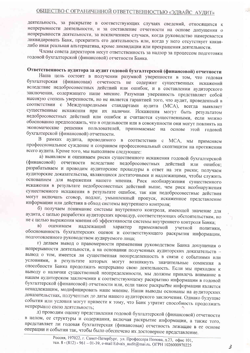### ОБЩЕСТВО С ОГРАНИЧЕННОЙ ОТВЕТСТВЕННОСТЬЮ «ЭДВАЙС АУДИТ»

деятельность, за раскрытие в соответствующих случаях сведений, относящихся к непрерывности деятельности, и за составление отчетности на основе допущения о непрерывности деятельности, за исключением случаев, когда руководство намеревается ликвидировать Банк, прекратить его деятельность или, когда у него отсутствует какаялибо иная реальная альтернатива, кроме ликвидации или прекращения деятельности.

Члены совета директоров несут ответственность за надзор за процессом подготовки годовой бухгалтерской (финансовой) отчетности Банка.

### Ответственность аудитора за аудит годовой бухгалтерской (финансовой) отчетности

Наша цель состоит в получении разумной уверенности в том, что годовая бухгалтерская (финансовая) отчетность не содержит существенных искажений вследствие недобросовестных действий или ошибок, и в составлении аудиторского заключения, содержащего наше мнение. Разумная уверенность представляет собой высокую степень уверенности, но не является гарантией того, что аудит, проведенный в соответствии с Международными стандартами аудита (МСА), всегда выявляет существенные искажения при их наличии. Искажения могут быть результатом недобросовестных действий или ошибок и считаются существенными, если можно обоснованно предположить, что в отдельности или в совокупности они могут повлиять на экономические решения пользователей, принимаемые на основе этой годовой бухгалтерской (финансовой) отчетности.

рамках аудита, проводимого в соответствии с МСА, мы применяем <sub>B</sub> профессиональное суждение и сохраняем профессиональный скептицизм на протяжении всего аудита. Кроме того, мы выполняем следующее:

а) выявляем и оцениваем риски существенного искажения годовой бухгалтерской (финансовой) отчетности вследствие недобросовестных действий или ошибок; разрабатываем и проводим аудиторские процедуры в ответ на эти риски; получаем аудиторские доказательства, являющиеся достаточными и надлежащими, чтобы служить основанием для выражения нашего мнения. Риск необнаружения существенного искажения в результате недобросовестных действий выше, чем риск необнаружения существенного искажения в результате ошибок, так как недобросовестные действия могут включать сговор, подлог, умышленный пропуск, искаженное представление информации или действия в обход системы внутреннего контроля;

б) получаем понимание системы внутреннего контроля, имеющей значение для аудита, с целью разработки аудиторских процедур, соответствующих обстоятельствам, но не с целью выражения мнения об эффективности системы внутреннего контроля Банка;

 $B)$ оцениваем надлежащий характер применяемой учетной политики. обоснованность бухгалтерских оценок и соответствующего раскрытия информации, подготовленного руководством аудируемого лица;

г) делаем вывод о правомерности применения руководством Банка допущения о непрерывности деятельности, а на основании полученных аудиторских доказательств вывод о том, имеется ли существенная неопределенность в связи с событиями или условиями, в результате которых могут возникнуть значительные сомнения в способности Банка продолжать непрерывно свою деятельность. Если мы приходим к выводу о наличии существенной неопределенности, мы должны привлечь внимание в нашем аудиторском заключении к соответствующему раскрытию информации в годовой бухгалтерской (финансовой) отчетности или, если такое раскрытие информации является ненадлежащим, модифицировать наше мнение. Наши выводы основаны на аудиторских доказательствах, полученных до даты нашего аудиторского заключения. Однако будущие события или условия могут привести к тому, что Банк утратит способность продолжать непрерывно свою деятельность:

д) проводим оценку представления годовой бухгалтерской (финансовой) отчетности в целом, ее структуры и содержания, включая раскрытие информации, а также того, представляет ли годовая бухгалтерская (финансовая) отчетность лежащие в ее основе операции и события так, чтобы было обеспечено их достоверное представление.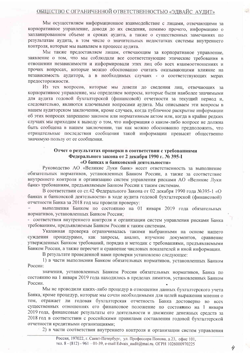Мы осуществляем информационное взаимодействие с лицами, отвечающими за корпоративное управление, доводя до их сведения, помимо прочего, информацию о запланированном объеме и сроках аудита, а также о существенных замечаниях по результатам аудита, в том числе о значительных недостатках системы внутреннего контроля, которые мы выявляем в процессе аудита.

Мы также предоставляем лицам, отвечающим за корпоративное управление, заявление о том, что мы соблюдали все соответствующие этические требования в отношении независимости и информировали этих лиц обо всех взаимоотношениях и прочих вопросах, которые можно обоснованно считать оказывающими влияние на независимость аудитора, а в необходимых случаях - о соответствующих мерах предосторожности.

Из тех вопросов, которые мы довели до сведения лиц, отвечающих за корпоративное управление, мы определяем вопросы, которые были наиболее значимыми для аудита годовой бухгалтерской (финансовой) отчетности за текущий период и. следовательно, являются ключевыми вопросами аудита. Мы описываем эти вопросы в нашем аудиторском заключении, кроме случаев, когда публичное раскрытие информации об этих вопросах запрещено законом или нормативным актом или, когда в крайне редких случаях мы приходим к выводу о том, что информация о каком-либо вопросе не лолжна быть сообщена в нашем заключении, так как можно обоснованно предположить, что отрицательные последствия сообщения такой информации превысят общественно значимую пользу от ее сообщения.

#### Отчет о результатах проверки в соответствии с требованиями Федерального закона от 2 декабря 1990 г. № 395-I «О банках и банковской деятельности»

Руководство АО «Великие Луки банк» несет ответственность за выполнение обязательных нормативов, установленных Банком России, а также за соответствие внутреннего контроля и организацию систем управления рисками АО «Великие Луки банк» требованиям, предъявляемым Банком России к таким системам.

В соответствии со ст.42 Федерального Закона от 02 лекабря 1990 года №395-1 «О банках и банковской деятельности» в ходе аудита годовой бухгалтерской (финансовой) отчетности Банка за 2018 год мы провели проверку:

выполнения Банком по состоянию на 01 января 2019 года обязательных нормативов, установленных Банком России:

- соответствия внутреннего контроля и организации систем управления рисками Банка требованиям, предъявляемым Банком России к таким системам.

Указанная проверка ограничивалась такими выбранными на основе нашего суждения процедурами, как запросы, анализ, изучение документов, сравнение утвержденных Банком требований, порядка и методик с требованиями, предъявляемыми Банком России, а также пересчет и сравнение числовых показателей и иной информации.

В результате проведенной нами проверки установлено следующее:

1) в части выполнения Банком обязательных нормативов, установленных Банком России:

значения, установленных Банком России обязательных нормативов, Банка по состоянию на 1 января 2019 года находились в пределах лимитов, установленных Банком России.

Мы не проводили каких-либо процедур в отношении данных бухгалтерского учета Банка, кроме процедур, которые мы сочли необходимыми для целей выражения мнения о том, отражает ли годовая бухгалтерская отчетность Банка достоверно во всех существенных отношениях его финансовое положение по состоянию на 1 января 2019 года, финансовые результаты его деятельности и движение денежных средств за 2018 год в соответствии с российскими правилами составления годовой бухгалтерской отчетности кредитными организациями;

2) в части соответствия внутреннего контроля и организации систем управления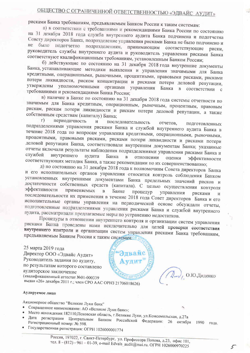# ОБЩЕСТВО С ОГРАНИЧЕННОЙ ОТВЕТСТВЕННОСТЬЮ «ЭДВАЙС АУДИТ»

рисками Банка требованиям, предъявляемым Банком России к таким системам:

а) в соответствии с требованиями и рекомендациями Банка России по состоянию на 31 декабря 2018 года служба внутреннего аудита Банка подчинена и подотчетна Совету директоров Банка, подразделение управления рисками Банка не было подчинено и не было подотчетно подразделениям, принимающим соответствующие риски, руководитель службы внутреннего аудита и руководитель управления рисками Банка соответствуют квалификационным требованиям, установленным Банком России;

б) действующие по состоянию на 31 декабря 2018 года внутренние документы Банка, устанавливающие методики выявления и управления значимыми для Банка кредитными, операционными, рыночными, процентными, правовыми рисками, рисками потери ликвидности, риском концентрации и рисками потери деловой репутации, утверждены уполномоченными органами управления Банка в соответствии с требованиями и рекомендациями Банка России;

в) наличие в Банке по состоянию на 31 декабря 2018 года системы отчетности по значимым для Банка кредитным, операционным, рыночным, процентным, правовым рискам, рискам потери ликвидности и рискам потери деловой репутации, а также собственным средствам (капиталу) Банка;

периодичность  $\Gamma$ )  $\overline{M}$ последовательность отчетов, подготовленных подразделениями управления рисками Банка и службой внутреннего аудита Банка в течение 2018 года по вопросам управления кредитными, операционными, рыночными, процентными, правовыми рисками, рисками потери ликвидности и рисками потери деловой репутации Банка, соответствовали внутренним документам Банка; указанные отчеты включали результаты наблюдения подразделениями управления рисками Банка и службой внутреннего аудита Банка отношении  $\mathbf{B}$ оценки эффективности соответствующих методик Банка, а также рекомендации по их совершенствованию;

д) по состоянию на 31 декабря 2018 года к полномочиям Совета директоров Банка и его исполнительных органов управления относится контроль соблюдения Банком установленных внутренними документами Банка предельных значений рисков и достаточности собственных средств (капитала). С целью осуществления контроля эффективности применяемых  $\overline{B}$ Банке процедур управления рисками последовательности их применения в течение 2018 года Совет директоров Банка и его исполнительные органы управления на периодической основе обсуждали отчеты, подготовленные подразделениями управления рисками Банка и службой внутреннего аудита, рассматривали предлагаемые меры по устранению недостатков.

Процедуры в отношении внутреннего контроля и организации систем управления рисками Банка проведены нами исключительно для целей проверки соответствия внутреннего контроля и организации систем управления рисками Банка требованиям, предъявляемым Банком России к таким системам. Он

25 марта 2019 года Эдвайс Директор ООО «Эдвайс Аудит» Руководитель задания по аудиту, **NUIMT** по результатам которого составлено аудиторское заключение (квалификационный аттестат №01-000339 выдан «26» декабря 2011 г.; член СРО ААС ОРНЗ 21706018626)

 $(\mathcal{D}_{\mu\nu})$  O.Ю. Диденко

1990

года.

Аудируемое лицо

Акционерное общество "Великие Луки банк"

- Сокращенное наименование: АО «Великие Луки банк»;
- Место нахождения: 182110, Псковская область, г. Великие Луки, ул. Комсомольская, д.27а
- Дата регистрации Центральным Банком Российской Федерации: 26 октября Регистрационный номер: № 598.
- Государственная регистрация: ОГРН 1026000001774

Россия, 197022, г. Санкт-Петербург, ул. Профессора Попова, д.23, офис 101, тел. 8 - (812) - 961 - 01-39, e-mail Edvais\_audit@mai.ru. ОГРН 1026000970225

 $\mathcal{L}$